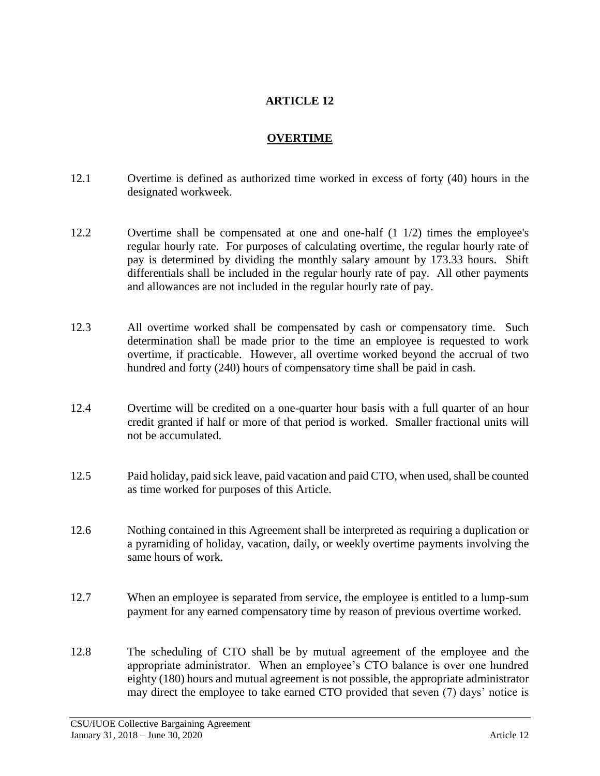## **ARTICLE 12**

## **OVERTIME**

- 12.1 Overtime is defined as authorized time worked in excess of forty (40) hours in the designated workweek.
- 12.2 Overtime shall be compensated at one and one-half (1 1/2) times the employee's regular hourly rate. For purposes of calculating overtime, the regular hourly rate of pay is determined by dividing the monthly salary amount by 173.33 hours. Shift differentials shall be included in the regular hourly rate of pay. All other payments and allowances are not included in the regular hourly rate of pay.
- 12.3 All overtime worked shall be compensated by cash or compensatory time. Such determination shall be made prior to the time an employee is requested to work overtime, if practicable. However, all overtime worked beyond the accrual of two hundred and forty (240) hours of compensatory time shall be paid in cash.
- 12.4 Overtime will be credited on a one-quarter hour basis with a full quarter of an hour credit granted if half or more of that period is worked. Smaller fractional units will not be accumulated.
- 12.5 Paid holiday, paid sick leave, paid vacation and paid CTO, when used, shall be counted as time worked for purposes of this Article.
- 12.6 Nothing contained in this Agreement shall be interpreted as requiring a duplication or a pyramiding of holiday, vacation, daily, or weekly overtime payments involving the same hours of work.
- 12.7 When an employee is separated from service, the employee is entitled to a lump-sum payment for any earned compensatory time by reason of previous overtime worked.
- 12.8 The scheduling of CTO shall be by mutual agreement of the employee and the appropriate administrator. When an employee's CTO balance is over one hundred eighty (180) hours and mutual agreement is not possible, the appropriate administrator may direct the employee to take earned CTO provided that seven (7) days' notice is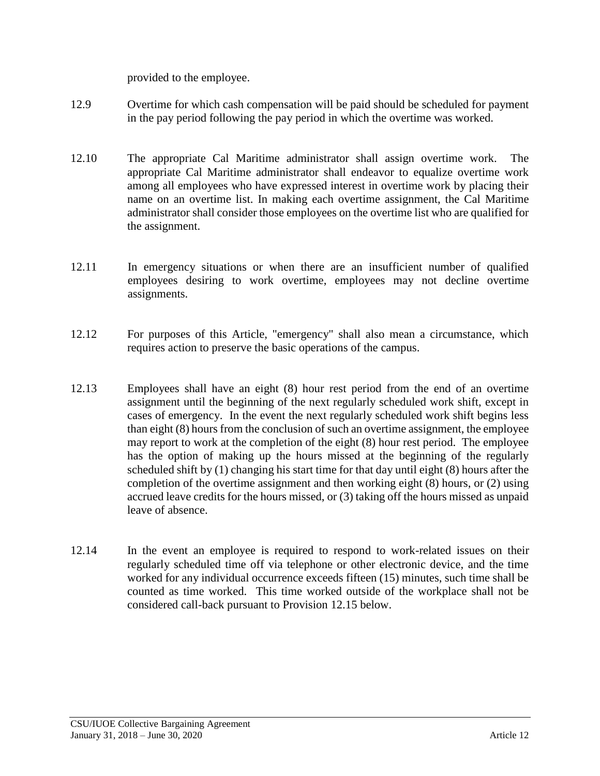provided to the employee.

- 12.9 Overtime for which cash compensation will be paid should be scheduled for payment in the pay period following the pay period in which the overtime was worked.
- 12.10 The appropriate Cal Maritime administrator shall assign overtime work. The appropriate Cal Maritime administrator shall endeavor to equalize overtime work among all employees who have expressed interest in overtime work by placing their name on an overtime list. In making each overtime assignment, the Cal Maritime administrator shall consider those employees on the overtime list who are qualified for the assignment.
- 12.11 In emergency situations or when there are an insufficient number of qualified employees desiring to work overtime, employees may not decline overtime assignments.
- 12.12 For purposes of this Article, "emergency" shall also mean a circumstance, which requires action to preserve the basic operations of the campus.
- 12.13 Employees shall have an eight (8) hour rest period from the end of an overtime assignment until the beginning of the next regularly scheduled work shift, except in cases of emergency. In the event the next regularly scheduled work shift begins less than eight (8) hours from the conclusion of such an overtime assignment, the employee may report to work at the completion of the eight (8) hour rest period. The employee has the option of making up the hours missed at the beginning of the regularly scheduled shift by (1) changing his start time for that day until eight (8) hours after the completion of the overtime assignment and then working eight (8) hours, or (2) using accrued leave credits for the hours missed, or (3) taking off the hours missed as unpaid leave of absence.
- 12.14 In the event an employee is required to respond to work-related issues on their regularly scheduled time off via telephone or other electronic device, and the time worked for any individual occurrence exceeds fifteen (15) minutes, such time shall be counted as time worked. This time worked outside of the workplace shall not be considered call-back pursuant to Provision 12.15 below.